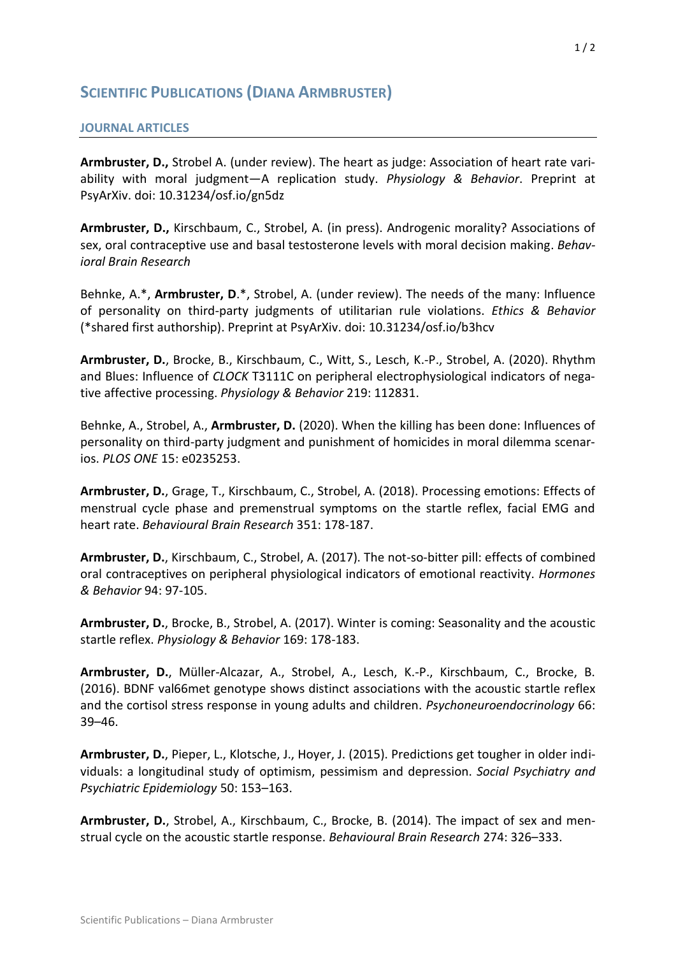## **SCIENTIFIC PUBLICATIONS (DIANA ARMBRUSTER)**

## **JOURNAL ARTICLES**

**Armbruster, D.,** Strobel A. (under review). The heart as judge: Association of heart rate variability with moral judgment—A replication study. *Physiology & Behavior*. Preprint at PsyArXiv. doi: 10.31234/osf.io/gn5dz

**Armbruster, D.,** Kirschbaum, C., Strobel, A. (in press). Androgenic morality? Associations of sex, oral contraceptive use and basal testosterone levels with moral decision making. *Behavioral Brain Research*

Behnke, A.\*, **Armbruster, D**.\*, Strobel, A. (under review). The needs of the many: Influence of personality on third-party judgments of utilitarian rule violations. *Ethics & Behavior*  (\*shared first authorship). Preprint at PsyArXiv. doi: 10.31234/osf.io/b3hcv

**Armbruster, D.**, Brocke, B., Kirschbaum, C., Witt, S., Lesch, K.-P., Strobel, A. (2020). Rhythm and Blues: Influence of *CLOCK* T3111C on peripheral electrophysiological indicators of negative affective processing. *Physiology & Behavior* 219: 112831.

Behnke, A., Strobel, A., **Armbruster, D.** (2020). When the killing has been done: Influences of personality on third-party judgment and punishment of homicides in moral dilemma scenarios. *PLOS ONE* 15: e0235253.

**Armbruster, D.**, Grage, T., Kirschbaum, C., Strobel, A. (2018). Processing emotions: Effects of menstrual cycle phase and premenstrual symptoms on the startle reflex, facial EMG and heart rate. *Behavioural Brain Research* 351: 178-187.

**Armbruster, D.**, Kirschbaum, C., Strobel, A. (2017). The not-so-bitter pill: effects of combined oral contraceptives on peripheral physiological indicators of emotional reactivity. *Hormones & Behavior* 94: 97-105.

**Armbruster, D.**, Brocke, B., Strobel, A. (2017). Winter is coming: Seasonality and the acoustic startle reflex. *Physiology & Behavior* 169: 178-183.

**Armbruster, D.**, Müller-Alcazar, A., Strobel, A., Lesch, K.-P., Kirschbaum, C., Brocke, B. (2016). BDNF val66met genotype shows distinct associations with the acoustic startle reflex and the cortisol stress response in young adults and children. *Psychoneuroendocrinology* 66: 39–46.

**Armbruster, D.**, Pieper, L., Klotsche, J., Hoyer, J. (2015). Predictions get tougher in older individuals: a longitudinal study of optimism, pessimism and depression. *Social Psychiatry and Psychiatric Epidemiology* 50: 153–163.

**Armbruster, D.**, Strobel, A., Kirschbaum, C., Brocke, B. (2014). The impact of sex and menstrual cycle on the acoustic startle response. *Behavioural Brain Research* 274: 326–333.